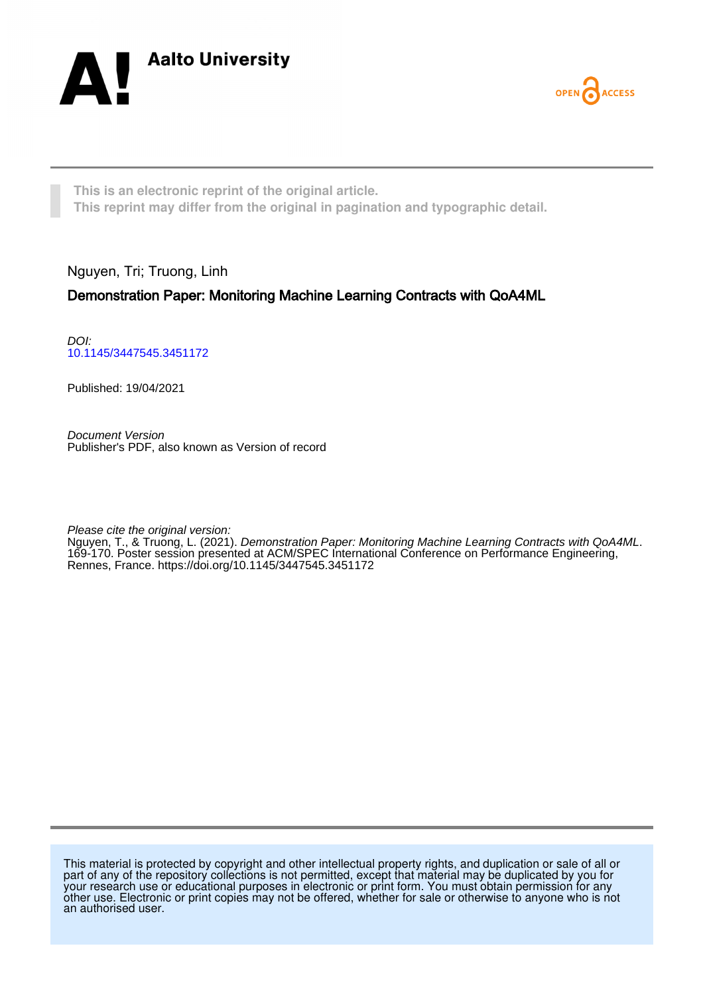



**This is an electronic reprint of the original article. This reprint may differ from the original in pagination and typographic detail.**

Nguyen, Tri; Truong, Linh

# Demonstration Paper: Monitoring Machine Learning Contracts with QoA4ML

DOI: [10.1145/3447545.3451172](https://doi.org/10.1145/3447545.3451172)

Published: 19/04/2021

Document Version Publisher's PDF, also known as Version of record

Please cite the original version:

Nguyen, T., & Truong, L. (2021). Demonstration Paper: Monitoring Machine Learning Contracts with QoA4ML. 169-170. Poster session presented at ACM/SPEC International Conference on Performance Engineering, Rennes, France. <https://doi.org/10.1145/3447545.3451172>

This material is protected by copyright and other intellectual property rights, and duplication or sale of all or part of any of the repository collections is not permitted, except that material may be duplicated by you for your research use or educational purposes in electronic or print form. You must obtain permission for any other use. Electronic or print copies may not be offered, whether for sale or otherwise to anyone who is not an authorised user.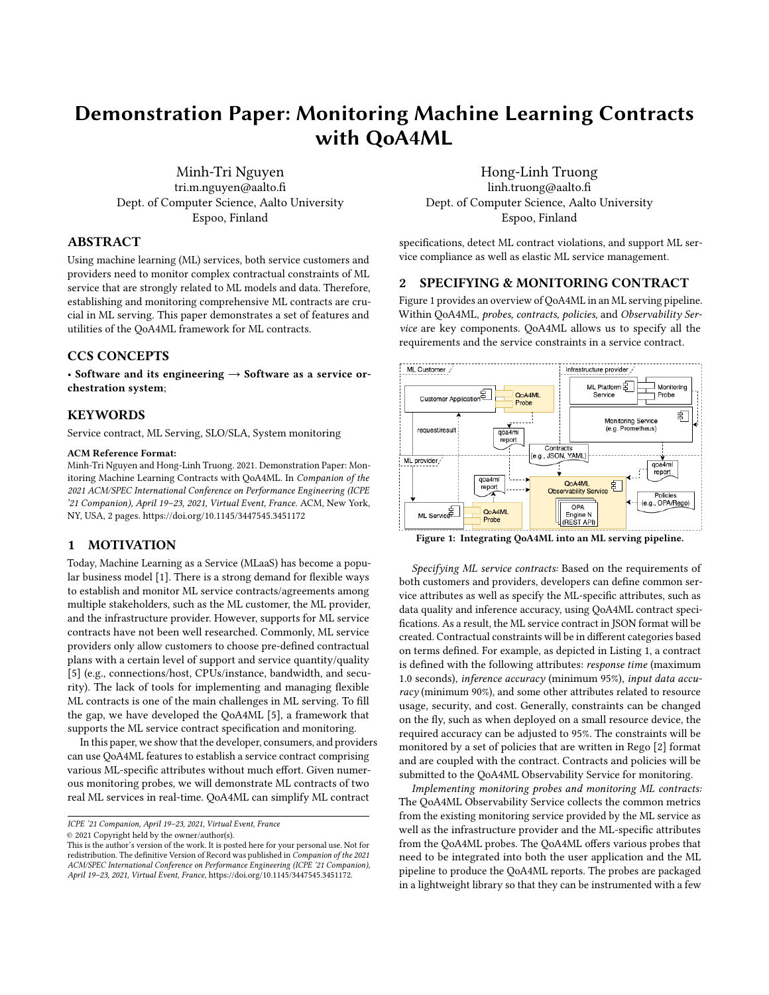# Demonstration Paper: Monitoring Machine Learning Contracts with QoA4ML

Minh-Tri Nguyen tri.m.nguyen@aalto.fi Dept. of Computer Science, Aalto University Espoo, Finland

### ABSTRACT

Using machine learning (ML) services, both service customers and providers need to monitor complex contractual constraints of ML service that are strongly related to ML models and data. Therefore, establishing and monitoring comprehensive ML contracts are crucial in ML serving. This paper demonstrates a set of features and utilities of the QoA4ML framework for ML contracts.

#### CCS CONCEPTS

• Software and its engineering  $\rightarrow$  Software as a service orchestration system;

#### **KEYWORDS**

Service contract, ML Serving, SLO/SLA, System monitoring

#### ACM Reference Format:

Minh-Tri Nguyen and Hong-Linh Truong. 2021. Demonstration Paper: Monitoring Machine Learning Contracts with QoA4ML. In Companion of the 2021 ACM/SPEC International Conference on Performance Engineering (ICPE '21 Companion), April 19–23, 2021, Virtual Event, France. ACM, New York, NY, USA, [2](#page-2-0) pages.<https://doi.org/10.1145/3447545.3451172>

#### 1 MOTIVATION

Today, Machine Learning as a Service (MLaaS) has become a popular business model [\[1\]](#page-2-1). There is a strong demand for flexible ways to establish and monitor ML service contracts/agreements among multiple stakeholders, such as the ML customer, the ML provider, and the infrastructure provider. However, supports for ML service contracts have not been well researched. Commonly, ML service providers only allow customers to choose pre-defined contractual plans with a certain level of support and service quantity/quality [\[5\]](#page-2-2) (e.g., connections/host, CPUs/instance, bandwidth, and security). The lack of tools for implementing and managing flexible ML contracts is one of the main challenges in ML serving. To fill the gap, we have developed the QoA4ML [\[5\]](#page-2-2), a framework that supports the ML service contract specification and monitoring.

In this paper, we show that the developer, consumers, and providers can use QoA4ML features to establish a service contract comprising various ML-specific attributes without much effort. Given numerous monitoring probes, we will demonstrate ML contracts of two real ML services in real-time. QoA4ML can simplify ML contract

ICPE '21 Companion, April 19–23, 2021, Virtual Event, France

© 2021 Copyright held by the owner/author(s).

## Hong-Linh Truong

linh.truong@aalto.fi Dept. of Computer Science, Aalto University Espoo, Finland

specifications, detect ML contract violations, and support ML service compliance as well as elastic ML service management.

#### 2 SPECIFYING & MONITORING CONTRACT

Figure [1](#page-1-0) provides an overview of QoA4ML in an ML serving pipeline. Within QoA4ML, probes, contracts, policies, and Observability Service are key components. QoA4ML allows us to specify all the requirements and the service constraints in a service contract.

<span id="page-1-0"></span>

Figure 1: Integrating QoA4ML into an ML serving pipeline.

Specifying ML service contracts: Based on the requirements of both customers and providers, developers can define common service attributes as well as specify the ML-specific attributes, such as data quality and inference accuracy, using QoA4ML contract specifications. As a result, the ML service contract in JSON format will be created. Contractual constraints will be in different categories based on terms defined. For example, as depicted in Listing [1,](#page-2-3) a contract is defined with the following attributes: response time (maximum 1.0 seconds), inference accuracy (minimum 95%), input data accuracy (minimum 90%), and some other attributes related to resource usage, security, and cost. Generally, constraints can be changed on the fly, such as when deployed on a small resource device, the required accuracy can be adjusted to 95%. The constraints will be monitored by a set of policies that are written in Rego [\[2\]](#page-2-4) format and are coupled with the contract. Contracts and policies will be submitted to the QoA4ML Observability Service for monitoring.

Implementing monitoring probes and monitoring ML contracts: The QoA4ML Observability Service collects the common metrics from the existing monitoring service provided by the ML service as well as the infrastructure provider and the ML-specific attributes from the QoA4ML probes. The QoA4ML offers various probes that need to be integrated into both the user application and the ML pipeline to produce the QoA4ML reports. The probes are packaged in a lightweight library so that they can be instrumented with a few

This is the author's version of the work. It is posted here for your personal use. Not for redistribution. The definitive Version of Record was published in Companion of the 2021 ACM/SPEC International Conference on Performance Engineering (ICPE '21 Companion), April 19–23, 2021, Virtual Event, France, [https://doi.org/10.1145/3447545.3451172.](https://doi.org/10.1145/3447545.3451172)